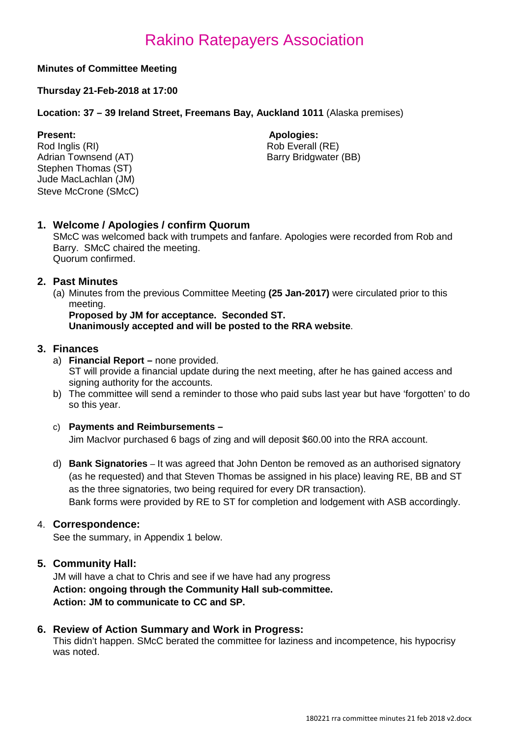# Rakino Ratepayers Association

## **Minutes of Committee Meeting**

## **Thursday 21-Feb-2018 at 17:00**

### **Location: 37 – 39 Ireland Street, Freemans Bay, Auckland 1011** (Alaska premises)

**Present: Apologies: Apologies: Apologies: Apologies: Apologies: Apologies: Apologies: Apologies: Apologies: Apologies: Apologies: Apologies: Apologies: Apologies: Apologies: Apologies: Ap** Rod Inglis (RI) Rob Everall (RE)<br>Adrian Townsend (AT) Rob Everall (RE) Stephen Thomas (ST) Jude MacLachlan (JM) Steve McCrone (SMcC)

Barry Bridgwater (BB)

## **1. Welcome / Apologies / confirm Quorum**

SMcC was welcomed back with trumpets and fanfare. Apologies were recorded from Rob and Barry. SMcC chaired the meeting. Quorum confirmed.

## **2. Past Minutes**

(a) Minutes from the previous Committee Meeting **(25 Jan-2017)** were circulated prior to this meeting.

#### **Proposed by JM for acceptance. Seconded ST. Unanimously accepted and will be posted to the RRA website**.

## **3. Finances**

- a) **Financial Report –** none provided. ST will provide a financial update during the next meeting, after he has gained access and signing authority for the accounts.
- b) The committee will send a reminder to those who paid subs last year but have 'forgotten' to do so this year.

### c) **Payments and Reimbursements –**

Jim MacIvor purchased 6 bags of zing and will deposit \$60.00 into the RRA account.

d) **Bank Signatories** – It was agreed that John Denton be removed as an authorised signatory (as he requested) and that Steven Thomas be assigned in his place) leaving RE, BB and ST as the three signatories, two being required for every DR transaction). Bank forms were provided by RE to ST for completion and lodgement with ASB accordingly.

### 4. **Correspondence:**

See the summary, in Appendix 1 below.

## **5. Community Hall:**

JM will have a chat to Chris and see if we have had any progress **Action: ongoing through the Community Hall sub-committee. Action: JM to communicate to CC and SP.**

### **6. Review of Action Summary and Work in Progress:**

This didn't happen. SMcC berated the committee for laziness and incompetence, his hypocrisy was noted.